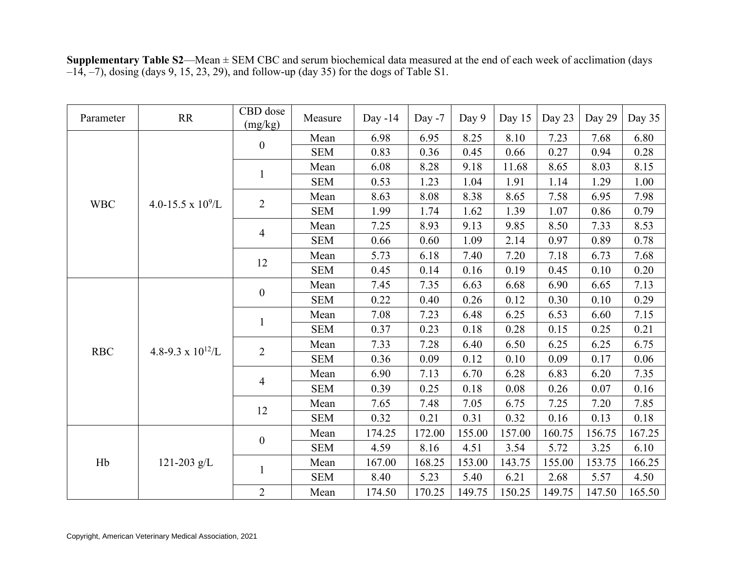| Parameter  | RR                    | CBD dose<br>(mg/kg)      | Measure    | Day $-14$ | Day $-7$ | Day 9  | Day 15 | Day 23 | Day 29 | Day 35 |
|------------|-----------------------|--------------------------|------------|-----------|----------|--------|--------|--------|--------|--------|
|            |                       | $\boldsymbol{0}$         | Mean       | 6.98      | 6.95     | 8.25   | 8.10   | 7.23   | 7.68   | 6.80   |
|            |                       |                          | <b>SEM</b> | 0.83      | 0.36     | 0.45   | 0.66   | 0.27   | 0.94   | 0.28   |
|            |                       |                          | Mean       | 6.08      | 8.28     | 9.18   | 11.68  | 8.65   | 8.03   | 8.15   |
|            |                       | $\mathbf{1}$             | <b>SEM</b> | 0.53      | 1.23     | 1.04   | 1.91   | 1.14   | 1.29   | 1.00   |
|            |                       |                          | Mean       | 8.63      | 8.08     | 8.38   | 8.65   | 7.58   | 6.95   | 7.98   |
| <b>WBC</b> | 4.0-15.5 x $10^9$ /L  | $\overline{2}$           | <b>SEM</b> | 1.99      | 1.74     | 1.62   | 1.39   | 1.07   | 0.86   | 0.79   |
|            |                       |                          | Mean       | 7.25      | 8.93     | 9.13   | 9.85   | 8.50   | 7.33   | 8.53   |
|            |                       | $\overline{4}$           | <b>SEM</b> | 0.66      | 0.60     | 1.09   | 2.14   | 0.97   | 0.89   | 0.78   |
|            |                       | 12                       | Mean       | 5.73      | 6.18     | 7.40   | 7.20   | 7.18   | 6.73   | 7.68   |
|            |                       |                          | <b>SEM</b> | 0.45      | 0.14     | 0.16   | 0.19   | 0.45   | 0.10   | 0.20   |
|            |                       |                          | Mean       | 7.45      | 7.35     | 6.63   | 6.68   | 6.90   | 6.65   | 7.13   |
|            |                       | $\boldsymbol{0}$         | <b>SEM</b> | 0.22      | 0.40     | 0.26   | 0.12   | 0.30   | 0.10   | 0.29   |
|            |                       |                          | Mean       | 7.08      | 7.23     | 6.48   | 6.25   | 6.53   | 6.60   | 7.15   |
|            |                       | $\mathbf{1}$             | <b>SEM</b> | 0.37      | 0.23     | 0.18   | 0.28   | 0.15   | 0.25   | 0.21   |
|            | 4.8-9.3 x $10^{12}/L$ |                          | Mean       | 7.33      | 7.28     | 6.40   | 6.50   | 6.25   | 6.25   | 6.75   |
| <b>RBC</b> |                       | $\overline{2}$           | <b>SEM</b> | 0.36      | 0.09     | 0.12   | 0.10   | 0.09   | 0.17   | 0.06   |
|            |                       |                          | Mean       | 6.90      | 7.13     | 6.70   | 6.28   | 6.83   | 6.20   | 7.35   |
|            |                       | $\overline{\mathcal{A}}$ | <b>SEM</b> | 0.39      | 0.25     | 0.18   | 0.08   | 0.26   | 0.07   | 0.16   |
|            |                       |                          | Mean       | 7.65      | 7.48     | 7.05   | 6.75   | 7.25   | 7.20   | 7.85   |
|            |                       | 12                       | <b>SEM</b> | 0.32      | 0.21     | 0.31   | 0.32   | 0.16   | 0.13   | 0.18   |
|            |                       |                          | Mean       | 174.25    | 172.00   | 155.00 | 157.00 | 160.75 | 156.75 | 167.25 |
|            |                       | $\boldsymbol{0}$         | <b>SEM</b> | 4.59      | 8.16     | 4.51   | 3.54   | 5.72   | 3.25   | 6.10   |
| Hb         | 121-203 $g/L$         |                          | Mean       | 167.00    | 168.25   | 153.00 | 143.75 | 155.00 | 153.75 | 166.25 |
|            |                       | $\mathbf{1}$             | <b>SEM</b> | 8.40      | 5.23     | 5.40   | 6.21   | 2.68   | 5.57   | 4.50   |
|            |                       | $\overline{2}$           | Mean       | 174.50    | 170.25   | 149.75 | 150.25 | 149.75 | 147.50 | 165.50 |

**Supplementary Table S2**—Mean ± SEM CBC and serum biochemical data measured at the end of each week of acclimation (days –14, –7), dosing (days 9, 15, 23, 29), and follow-up (day 35) for the dogs of Table S1.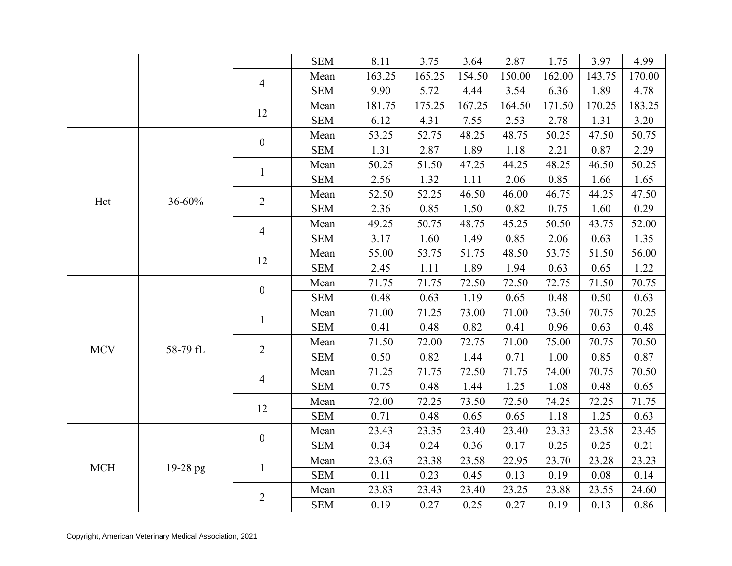|            |          |                          | <b>SEM</b> | 8.11   | 3.75   | 3.64   | 2.87   | 1.75   | 3.97   | 4.99   |
|------------|----------|--------------------------|------------|--------|--------|--------|--------|--------|--------|--------|
|            |          | 4                        | Mean       | 163.25 | 165.25 | 154.50 | 150.00 | 162.00 | 143.75 | 170.00 |
|            |          |                          | <b>SEM</b> | 9.90   | 5.72   | 4.44   | 3.54   | 6.36   | 1.89   | 4.78   |
|            |          | 12                       | Mean       | 181.75 | 175.25 | 167.25 | 164.50 | 171.50 | 170.25 | 183.25 |
|            |          |                          | <b>SEM</b> | 6.12   | 4.31   | 7.55   | 2.53   | 2.78   | 1.31   | 3.20   |
|            |          | $\boldsymbol{0}$         | Mean       | 53.25  | 52.75  | 48.25  | 48.75  | 50.25  | 47.50  | 50.75  |
|            |          |                          | <b>SEM</b> | 1.31   | 2.87   | 1.89   | 1.18   | 2.21   | 0.87   | 2.29   |
|            |          |                          | Mean       | 50.25  | 51.50  | 47.25  | 44.25  | 48.25  | 46.50  | 50.25  |
|            |          | $\mathbf{1}$             | <b>SEM</b> | 2.56   | 1.32   | 1.11   | 2.06   | 0.85   | 1.66   | 1.65   |
|            | 36-60%   | $\overline{2}$           | Mean       | 52.50  | 52.25  | 46.50  | 46.00  | 46.75  | 44.25  | 47.50  |
| Hct        |          |                          | <b>SEM</b> | 2.36   | 0.85   | 1.50   | 0.82   | 0.75   | 1.60   | 0.29   |
|            |          |                          | Mean       | 49.25  | 50.75  | 48.75  | 45.25  | 50.50  | 43.75  | 52.00  |
|            |          | 4                        | <b>SEM</b> | 3.17   | 1.60   | 1.49   | 0.85   | 2.06   | 0.63   | 1.35   |
|            |          |                          | Mean       | 55.00  | 53.75  | 51.75  | 48.50  | 53.75  | 51.50  | 56.00  |
|            |          | 12                       | <b>SEM</b> | 2.45   | 1.11   | 1.89   | 1.94   | 0.63   | 0.65   | 1.22   |
|            |          |                          | Mean       | 71.75  | 71.75  | 72.50  | 72.50  | 72.75  | 71.50  | 70.75  |
|            |          | $\boldsymbol{0}$         | <b>SEM</b> | 0.48   | 0.63   | 1.19   | 0.65   | 0.48   | 0.50   | 0.63   |
|            |          |                          | Mean       | 71.00  | 71.25  | 73.00  | 71.00  | 73.50  | 70.75  | 70.25  |
|            |          | $\mathbf{1}$             | <b>SEM</b> | 0.41   | 0.48   | 0.82   | 0.41   | 0.96   | 0.63   | 0.48   |
|            |          |                          | Mean       | 71.50  | 72.00  | 72.75  | 71.00  | 75.00  | 70.75  | 70.50  |
| <b>MCV</b> | 58-79 fL | $\overline{2}$           | <b>SEM</b> | 0.50   | 0.82   | 1.44   | 0.71   | 1.00   | 0.85   | 0.87   |
|            |          |                          | Mean       | 71.25  | 71.75  | 72.50  | 71.75  | 74.00  | 70.75  | 70.50  |
|            |          | $\overline{\mathcal{A}}$ | <b>SEM</b> | 0.75   | 0.48   | 1.44   | 1.25   | 1.08   | 0.48   | 0.65   |
|            |          |                          | Mean       | 72.00  | 72.25  | 73.50  | 72.50  | 74.25  | 72.25  | 71.75  |
|            |          | 12                       | <b>SEM</b> | 0.71   | 0.48   | 0.65   | 0.65   | 1.18   | 1.25   | 0.63   |
|            |          |                          | Mean       | 23.43  | 23.35  | 23.40  | 23.40  | 23.33  | 23.58  | 23.45  |
|            |          | $\boldsymbol{0}$         | <b>SEM</b> | 0.34   | 0.24   | 0.36   | 0.17   | 0.25   | 0.25   | 0.21   |
|            |          |                          | Mean       | 23.63  | 23.38  | 23.58  | 22.95  | 23.70  | 23.28  | 23.23  |
| <b>MCH</b> | 19-28 pg | $\mathbf{1}$             | <b>SEM</b> | 0.11   | 0.23   | 0.45   | 0.13   | 0.19   | 0.08   | 0.14   |
|            |          |                          | Mean       | 23.83  | 23.43  | 23.40  | 23.25  | 23.88  | 23.55  | 24.60  |
|            |          | $\overline{2}$           | <b>SEM</b> | 0.19   | 0.27   | 0.25   | 0.27   | 0.19   | 0.13   | 0.86   |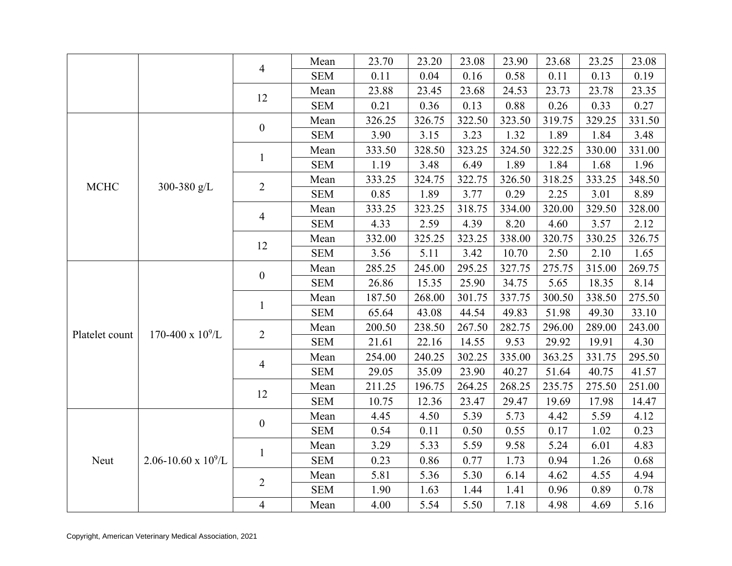|                |                        |                         | Mean       | 23.70  | 23.20  | 23.08  | 23.90  | 23.68  | 23.25  | 23.08  |
|----------------|------------------------|-------------------------|------------|--------|--------|--------|--------|--------|--------|--------|
|                |                        | $\overline{4}$          | <b>SEM</b> | 0.11   | 0.04   | 0.16   | 0.58   | 0.11   | 0.13   | 0.19   |
|                |                        |                         | Mean       | 23.88  | 23.45  | 23.68  | 24.53  | 23.73  | 23.78  | 23.35  |
|                |                        | 12                      | <b>SEM</b> | 0.21   | 0.36   | 0.13   | 0.88   | 0.26   | 0.33   | 0.27   |
|                |                        |                         | Mean       | 326.25 | 326.75 | 322.50 | 323.50 | 319.75 | 329.25 | 331.50 |
|                |                        | $\boldsymbol{0}$        | <b>SEM</b> | 3.90   | 3.15   | 3.23   | 1.32   | 1.89   | 1.84   | 3.48   |
|                |                        |                         | Mean       | 333.50 | 328.50 | 323.25 | 324.50 | 322.25 | 330.00 | 331.00 |
|                |                        | $\mathbf{1}$            | <b>SEM</b> | 1.19   | 3.48   | 6.49   | 1.89   | 1.84   | 1.68   | 1.96   |
|                |                        |                         | Mean       | 333.25 | 324.75 | 322.75 | 326.50 | 318.25 | 333.25 | 348.50 |
| <b>MCHC</b>    | 300-380 g/L            | $\overline{2}$          | <b>SEM</b> | 0.85   | 1.89   | 3.77   | 0.29   | 2.25   | 3.01   | 8.89   |
|                |                        |                         | Mean       | 333.25 | 323.25 | 318.75 | 334.00 | 320.00 | 329.50 | 328.00 |
|                |                        | 4                       | <b>SEM</b> | 4.33   | 2.59   | 4.39   | 8.20   | 4.60   | 3.57   | 2.12   |
|                |                        |                         | Mean       | 332.00 | 325.25 | 323.25 | 338.00 | 320.75 | 330.25 | 326.75 |
|                |                        | 12                      | <b>SEM</b> | 3.56   | 5.11   | 3.42   | 10.70  | 2.50   | 2.10   | 1.65   |
|                |                        | $\boldsymbol{0}$        | Mean       | 285.25 | 245.00 | 295.25 | 327.75 | 275.75 | 315.00 | 269.75 |
|                |                        |                         | <b>SEM</b> | 26.86  | 15.35  | 25.90  | 34.75  | 5.65   | 18.35  | 8.14   |
|                |                        |                         | Mean       | 187.50 | 268.00 | 301.75 | 337.75 | 300.50 | 338.50 | 275.50 |
|                |                        | $\mathbf{1}$            | <b>SEM</b> | 65.64  | 43.08  | 44.54  | 49.83  | 51.98  | 49.30  | 33.10  |
| Platelet count | 170-400 x $10^9$ /L    | $\overline{2}$          | Mean       | 200.50 | 238.50 | 267.50 | 282.75 | 296.00 | 289.00 | 243.00 |
|                |                        |                         | <b>SEM</b> | 21.61  | 22.16  | 14.55  | 9.53   | 29.92  | 19.91  | 4.30   |
|                |                        | 4                       | Mean       | 254.00 | 240.25 | 302.25 | 335.00 | 363.25 | 331.75 | 295.50 |
|                |                        |                         | <b>SEM</b> | 29.05  | 35.09  | 23.90  | 40.27  | 51.64  | 40.75  | 41.57  |
|                |                        | 12                      | Mean       | 211.25 | 196.75 | 264.25 | 268.25 | 235.75 | 275.50 | 251.00 |
|                |                        |                         | <b>SEM</b> | 10.75  | 12.36  | 23.47  | 29.47  | 19.69  | 17.98  | 14.47  |
|                |                        | $\boldsymbol{0}$        | Mean       | 4.45   | 4.50   | 5.39   | 5.73   | 4.42   | 5.59   | 4.12   |
|                |                        |                         | <b>SEM</b> | 0.54   | 0.11   | 0.50   | 0.55   | 0.17   | 1.02   | 0.23   |
|                |                        |                         | Mean       | 3.29   | 5.33   | 5.59   | 9.58   | 5.24   | 6.01   | 4.83   |
| Neut           | 2.06-10.60 x $10^9$ /L | $\mathbf{1}$            | <b>SEM</b> | 0.23   | 0.86   | 0.77   | 1.73   | 0.94   | 1.26   | 0.68   |
|                |                        | $\overline{2}$          | Mean       | 5.81   | 5.36   | 5.30   | 6.14   | 4.62   | 4.55   | 4.94   |
|                |                        |                         | <b>SEM</b> | 1.90   | 1.63   | 1.44   | 1.41   | 0.96   | 0.89   | 0.78   |
|                |                        | $\overline{\mathbf{4}}$ | Mean       | 4.00   | 5.54   | 5.50   | 7.18   | 4.98   | 4.69   | 5.16   |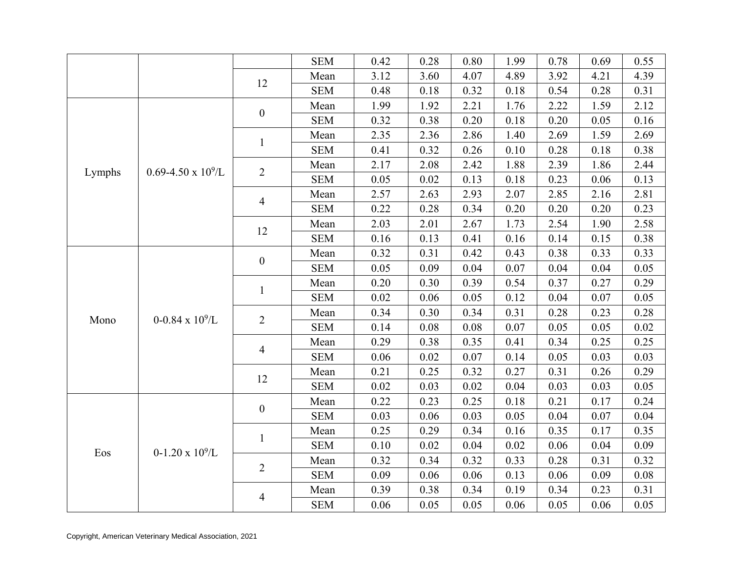|        |                              |                  | <b>SEM</b> | 0.42 | 0.28 | 0.80 | 1.99 | 0.78 | 0.69 | 0.55 |
|--------|------------------------------|------------------|------------|------|------|------|------|------|------|------|
|        |                              |                  | Mean       | 3.12 | 3.60 | 4.07 | 4.89 | 3.92 | 4.21 | 4.39 |
|        |                              | 12               | <b>SEM</b> | 0.48 | 0.18 | 0.32 | 0.18 | 0.54 | 0.28 | 0.31 |
|        |                              |                  | Mean       | 1.99 | 1.92 | 2.21 | 1.76 | 2.22 | 1.59 | 2.12 |
|        |                              | $\boldsymbol{0}$ | <b>SEM</b> | 0.32 | 0.38 | 0.20 | 0.18 | 0.20 | 0.05 | 0.16 |
|        |                              |                  | Mean       | 2.35 | 2.36 | 2.86 | 1.40 | 2.69 | 1.59 | 2.69 |
|        |                              | $\mathbf{1}$     | <b>SEM</b> | 0.41 | 0.32 | 0.26 | 0.10 | 0.28 | 0.18 | 0.38 |
|        |                              |                  | Mean       | 2.17 | 2.08 | 2.42 | 1.88 | 2.39 | 1.86 | 2.44 |
| Lymphs | $0.69 - 4.50 \times 10^9$ /L | $\overline{2}$   | <b>SEM</b> | 0.05 | 0.02 | 0.13 | 0.18 | 0.23 | 0.06 | 0.13 |
|        |                              |                  | Mean       | 2.57 | 2.63 | 2.93 | 2.07 | 2.85 | 2.16 | 2.81 |
|        |                              | $\overline{4}$   | <b>SEM</b> | 0.22 | 0.28 | 0.34 | 0.20 | 0.20 | 0.20 | 0.23 |
|        |                              | 12               | Mean       | 2.03 | 2.01 | 2.67 | 1.73 | 2.54 | 1.90 | 2.58 |
|        |                              |                  | <b>SEM</b> | 0.16 | 0.13 | 0.41 | 0.16 | 0.14 | 0.15 | 0.38 |
|        |                              | $\boldsymbol{0}$ | Mean       | 0.32 | 0.31 | 0.42 | 0.43 | 0.38 | 0.33 | 0.33 |
|        |                              |                  | <b>SEM</b> | 0.05 | 0.09 | 0.04 | 0.07 | 0.04 | 0.04 | 0.05 |
|        |                              |                  | Mean       | 0.20 | 0.30 | 0.39 | 0.54 | 0.37 | 0.27 | 0.29 |
|        |                              | $\mathbf{1}$     | <b>SEM</b> | 0.02 | 0.06 | 0.05 | 0.12 | 0.04 | 0.07 | 0.05 |
| Mono   | $0-0.84 \times 10^9$ /L      | $\overline{2}$   | Mean       | 0.34 | 0.30 | 0.34 | 0.31 | 0.28 | 0.23 | 0.28 |
|        |                              |                  | <b>SEM</b> | 0.14 | 0.08 | 0.08 | 0.07 | 0.05 | 0.05 | 0.02 |
|        |                              | $\overline{4}$   | Mean       | 0.29 | 0.38 | 0.35 | 0.41 | 0.34 | 0.25 | 0.25 |
|        |                              |                  | <b>SEM</b> | 0.06 | 0.02 | 0.07 | 0.14 | 0.05 | 0.03 | 0.03 |
|        |                              | 12               | Mean       | 0.21 | 0.25 | 0.32 | 0.27 | 0.31 | 0.26 | 0.29 |
|        |                              |                  | <b>SEM</b> | 0.02 | 0.03 | 0.02 | 0.04 | 0.03 | 0.03 | 0.05 |
|        |                              | $\boldsymbol{0}$ | Mean       | 0.22 | 0.23 | 0.25 | 0.18 | 0.21 | 0.17 | 0.24 |
|        |                              |                  | <b>SEM</b> | 0.03 | 0.06 | 0.03 | 0.05 | 0.04 | 0.07 | 0.04 |
|        |                              | $\mathbf{1}$     | Mean       | 0.25 | 0.29 | 0.34 | 0.16 | 0.35 | 0.17 | 0.35 |
| Eos    | $0-1.20 \times 10^9$ /L      |                  | <b>SEM</b> | 0.10 | 0.02 | 0.04 | 0.02 | 0.06 | 0.04 | 0.09 |
|        |                              | $\overline{2}$   | Mean       | 0.32 | 0.34 | 0.32 | 0.33 | 0.28 | 0.31 | 0.32 |
|        |                              |                  | <b>SEM</b> | 0.09 | 0.06 | 0.06 | 0.13 | 0.06 | 0.09 | 0.08 |
|        |                              | $\overline{4}$   | Mean       | 0.39 | 0.38 | 0.34 | 0.19 | 0.34 | 0.23 | 0.31 |
|        |                              |                  | <b>SEM</b> | 0.06 | 0.05 | 0.05 | 0.06 | 0.05 | 0.06 | 0.05 |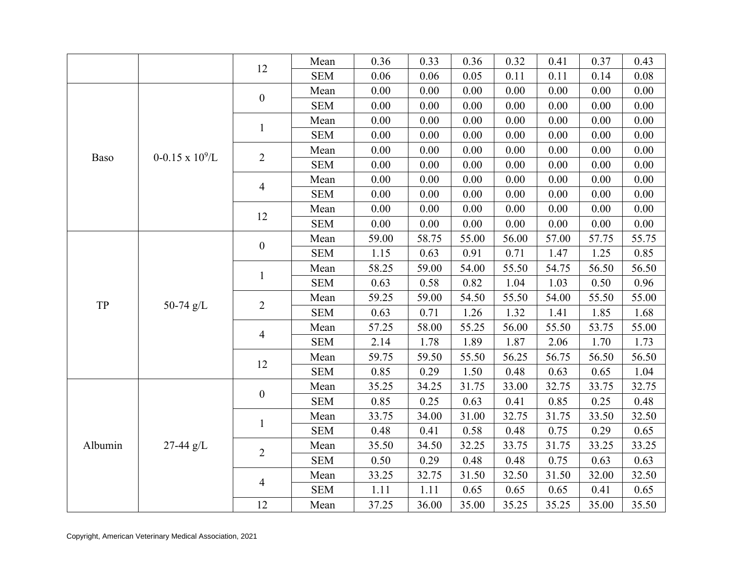|         |                         | 12               | Mean       | 0.36  | 0.33  | 0.36  | 0.32  | 0.41  | 0.37  | 0.43  |
|---------|-------------------------|------------------|------------|-------|-------|-------|-------|-------|-------|-------|
|         |                         |                  | <b>SEM</b> | 0.06  | 0.06  | 0.05  | 0.11  | 0.11  | 0.14  | 0.08  |
|         |                         | $\boldsymbol{0}$ | Mean       | 0.00  | 0.00  | 0.00  | 0.00  | 0.00  | 0.00  | 0.00  |
|         |                         |                  | <b>SEM</b> | 0.00  | 0.00  | 0.00  | 0.00  | 0.00  | 0.00  | 0.00  |
|         |                         |                  | Mean       | 0.00  | 0.00  | 0.00  | 0.00  | 0.00  | 0.00  | 0.00  |
|         |                         | $\mathbf{1}$     | <b>SEM</b> | 0.00  | 0.00  | 0.00  | 0.00  | 0.00  | 0.00  | 0.00  |
|         | $0-0.15 \times 10^9$ /L |                  | Mean       | 0.00  | 0.00  | 0.00  | 0.00  | 0.00  | 0.00  | 0.00  |
| Baso    |                         | $\mathbf{2}$     | <b>SEM</b> | 0.00  | 0.00  | 0.00  | 0.00  | 0.00  | 0.00  | 0.00  |
|         |                         | $\overline{4}$   | Mean       | 0.00  | 0.00  | 0.00  | 0.00  | 0.00  | 0.00  | 0.00  |
|         |                         |                  | <b>SEM</b> | 0.00  | 0.00  | 0.00  | 0.00  | 0.00  | 0.00  | 0.00  |
|         |                         | 12               | Mean       | 0.00  | 0.00  | 0.00  | 0.00  | 0.00  | 0.00  | 0.00  |
|         |                         |                  | <b>SEM</b> | 0.00  | 0.00  | 0.00  | 0.00  | 0.00  | 0.00  | 0.00  |
|         |                         | $\boldsymbol{0}$ | Mean       | 59.00 | 58.75 | 55.00 | 56.00 | 57.00 | 57.75 | 55.75 |
|         |                         |                  | <b>SEM</b> | 1.15  | 0.63  | 0.91  | 0.71  | 1.47  | 1.25  | 0.85  |
|         |                         | $\mathbf{1}$     | Mean       | 58.25 | 59.00 | 54.00 | 55.50 | 54.75 | 56.50 | 56.50 |
|         |                         |                  | <b>SEM</b> | 0.63  | 0.58  | 0.82  | 1.04  | 1.03  | 0.50  | 0.96  |
| TP      | 50-74 $g/L$             | $\mathbf{2}$     | Mean       | 59.25 | 59.00 | 54.50 | 55.50 | 54.00 | 55.50 | 55.00 |
|         |                         |                  | <b>SEM</b> | 0.63  | 0.71  | 1.26  | 1.32  | 1.41  | 1.85  | 1.68  |
|         |                         | $\overline{4}$   | Mean       | 57.25 | 58.00 | 55.25 | 56.00 | 55.50 | 53.75 | 55.00 |
|         |                         |                  | <b>SEM</b> | 2.14  | 1.78  | 1.89  | 1.87  | 2.06  | 1.70  | 1.73  |
|         |                         | 12               | Mean       | 59.75 | 59.50 | 55.50 | 56.25 | 56.75 | 56.50 | 56.50 |
|         |                         |                  | <b>SEM</b> | 0.85  | 0.29  | 1.50  | 0.48  | 0.63  | 0.65  | 1.04  |
|         |                         | $\boldsymbol{0}$ | Mean       | 35.25 | 34.25 | 31.75 | 33.00 | 32.75 | 33.75 | 32.75 |
|         |                         |                  | <b>SEM</b> | 0.85  | 0.25  | 0.63  | 0.41  | 0.85  | 0.25  | 0.48  |
|         |                         | $\mathbf{1}$     | Mean       | 33.75 | 34.00 | 31.00 | 32.75 | 31.75 | 33.50 | 32.50 |
|         |                         |                  | <b>SEM</b> | 0.48  | 0.41  | 0.58  | 0.48  | 0.75  | 0.29  | 0.65  |
| Albumin | $27-44 g/L$             | $\overline{2}$   | Mean       | 35.50 | 34.50 | 32.25 | 33.75 | 31.75 | 33.25 | 33.25 |
|         |                         |                  | <b>SEM</b> | 0.50  | 0.29  | 0.48  | 0.48  | 0.75  | 0.63  | 0.63  |
|         |                         | $\overline{4}$   | Mean       | 33.25 | 32.75 | 31.50 | 32.50 | 31.50 | 32.00 | 32.50 |
|         |                         |                  | <b>SEM</b> | 1.11  | 1.11  | 0.65  | 0.65  | 0.65  | 0.41  | 0.65  |
|         |                         | 12               | Mean       | 37.25 | 36.00 | 35.00 | 35.25 | 35.25 | 35.00 | 35.50 |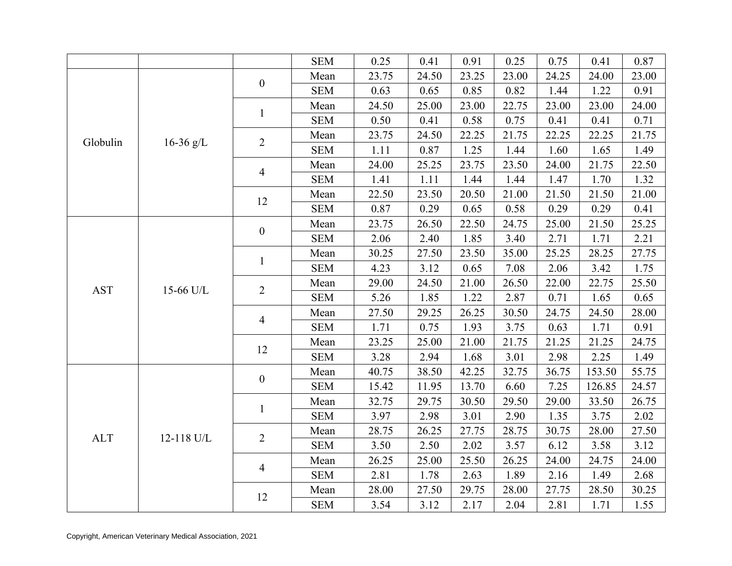|            |            |                  | <b>SEM</b> | 0.25  | 0.41  | 0.91  | 0.25  | 0.75  | 0.41   | 0.87  |
|------------|------------|------------------|------------|-------|-------|-------|-------|-------|--------|-------|
|            |            |                  | Mean       | 23.75 | 24.50 | 23.25 | 23.00 | 24.25 | 24.00  | 23.00 |
|            |            | $\boldsymbol{0}$ | <b>SEM</b> | 0.63  | 0.65  | 0.85  | 0.82  | 1.44  | 1.22   | 0.91  |
|            |            |                  | Mean       | 24.50 | 25.00 | 23.00 | 22.75 | 23.00 | 23.00  | 24.00 |
|            |            | $\mathbf{1}$     | <b>SEM</b> | 0.50  | 0.41  | 0.58  | 0.75  | 0.41  | 0.41   | 0.71  |
|            |            | $\overline{2}$   | Mean       | 23.75 | 24.50 | 22.25 | 21.75 | 22.25 | 22.25  | 21.75 |
| Globulin   | 16-36 g/L  |                  | <b>SEM</b> | 1.11  | 0.87  | 1.25  | 1.44  | 1.60  | 1.65   | 1.49  |
|            |            |                  | Mean       | 24.00 | 25.25 | 23.75 | 23.50 | 24.00 | 21.75  | 22.50 |
|            |            | $\overline{4}$   | <b>SEM</b> | 1.41  | 1.11  | 1.44  | 1.44  | 1.47  | 1.70   | 1.32  |
|            |            | 12               | Mean       | 22.50 | 23.50 | 20.50 | 21.00 | 21.50 | 21.50  | 21.00 |
|            |            |                  | <b>SEM</b> | 0.87  | 0.29  | 0.65  | 0.58  | 0.29  | 0.29   | 0.41  |
|            |            | $\boldsymbol{0}$ | Mean       | 23.75 | 26.50 | 22.50 | 24.75 | 25.00 | 21.50  | 25.25 |
|            |            |                  | <b>SEM</b> | 2.06  | 2.40  | 1.85  | 3.40  | 2.71  | 1.71   | 2.21  |
|            |            | $\mathbf{1}$     | Mean       | 30.25 | 27.50 | 23.50 | 35.00 | 25.25 | 28.25  | 27.75 |
|            |            |                  | <b>SEM</b> | 4.23  | 3.12  | 0.65  | 7.08  | 2.06  | 3.42   | 1.75  |
| <b>AST</b> | 15-66 U/L  | $\overline{2}$   | Mean       | 29.00 | 24.50 | 21.00 | 26.50 | 22.00 | 22.75  | 25.50 |
|            |            |                  | <b>SEM</b> | 5.26  | 1.85  | 1.22  | 2.87  | 0.71  | 1.65   | 0.65  |
|            |            | $\overline{4}$   | Mean       | 27.50 | 29.25 | 26.25 | 30.50 | 24.75 | 24.50  | 28.00 |
|            |            |                  | <b>SEM</b> | 1.71  | 0.75  | 1.93  | 3.75  | 0.63  | 1.71   | 0.91  |
|            |            | 12               | Mean       | 23.25 | 25.00 | 21.00 | 21.75 | 21.25 | 21.25  | 24.75 |
|            |            |                  | <b>SEM</b> | 3.28  | 2.94  | 1.68  | 3.01  | 2.98  | 2.25   | 1.49  |
|            |            | $\boldsymbol{0}$ | Mean       | 40.75 | 38.50 | 42.25 | 32.75 | 36.75 | 153.50 | 55.75 |
|            |            |                  | <b>SEM</b> | 15.42 | 11.95 | 13.70 | 6.60  | 7.25  | 126.85 | 24.57 |
|            |            | $\mathbf{1}$     | Mean       | 32.75 | 29.75 | 30.50 | 29.50 | 29.00 | 33.50  | 26.75 |
|            |            |                  | <b>SEM</b> | 3.97  | 2.98  | 3.01  | 2.90  | 1.35  | 3.75   | 2.02  |
| <b>ALT</b> | 12-118 U/L | $\overline{2}$   | Mean       | 28.75 | 26.25 | 27.75 | 28.75 | 30.75 | 28.00  | 27.50 |
|            |            |                  | <b>SEM</b> | 3.50  | 2.50  | 2.02  | 3.57  | 6.12  | 3.58   | 3.12  |
|            |            | $\overline{4}$   | Mean       | 26.25 | 25.00 | 25.50 | 26.25 | 24.00 | 24.75  | 24.00 |
|            |            |                  | <b>SEM</b> | 2.81  | 1.78  | 2.63  | 1.89  | 2.16  | 1.49   | 2.68  |
|            |            | 12               | Mean       | 28.00 | 27.50 | 29.75 | 28.00 | 27.75 | 28.50  | 30.25 |
|            |            |                  | <b>SEM</b> | 3.54  | 3.12  | 2.17  | 2.04  | 2.81  | 1.71   | 1.55  |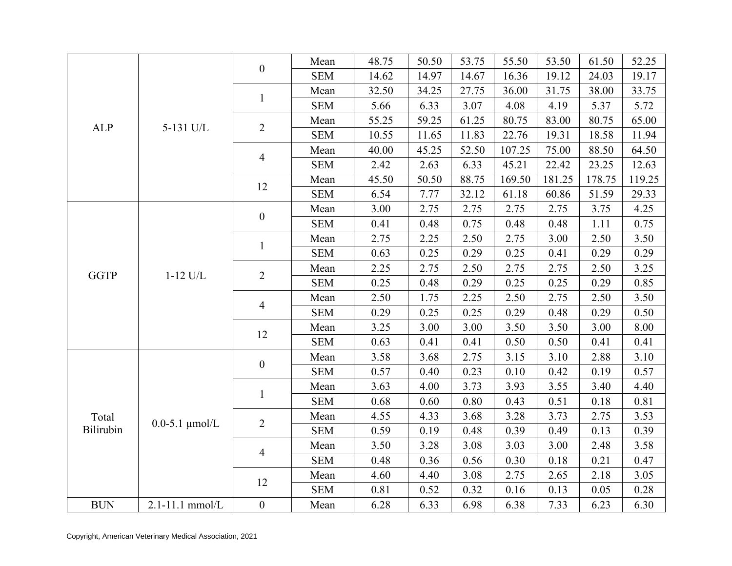|             |                       | $\boldsymbol{0}$         | Mean       | 48.75 | 50.50 | 53.75 | 55.50  | 53.50  | 61.50  | 52.25  |
|-------------|-----------------------|--------------------------|------------|-------|-------|-------|--------|--------|--------|--------|
|             |                       |                          | <b>SEM</b> | 14.62 | 14.97 | 14.67 | 16.36  | 19.12  | 24.03  | 19.17  |
|             |                       | $\mathbf{1}$             | Mean       | 32.50 | 34.25 | 27.75 | 36.00  | 31.75  | 38.00  | 33.75  |
|             |                       |                          | <b>SEM</b> | 5.66  | 6.33  | 3.07  | 4.08   | 4.19   | 5.37   | 5.72   |
| <b>ALP</b>  | 5-131 U/L             | $\overline{2}$           | Mean       | 55.25 | 59.25 | 61.25 | 80.75  | 83.00  | 80.75  | 65.00  |
|             |                       |                          | <b>SEM</b> | 10.55 | 11.65 | 11.83 | 22.76  | 19.31  | 18.58  | 11.94  |
|             |                       | $\overline{\mathcal{A}}$ | Mean       | 40.00 | 45.25 | 52.50 | 107.25 | 75.00  | 88.50  | 64.50  |
|             |                       |                          | <b>SEM</b> | 2.42  | 2.63  | 6.33  | 45.21  | 22.42  | 23.25  | 12.63  |
|             |                       | 12                       | Mean       | 45.50 | 50.50 | 88.75 | 169.50 | 181.25 | 178.75 | 119.25 |
|             |                       |                          | <b>SEM</b> | 6.54  | 7.77  | 32.12 | 61.18  | 60.86  | 51.59  | 29.33  |
|             |                       |                          | Mean       | 3.00  | 2.75  | 2.75  | 2.75   | 2.75   | 3.75   | 4.25   |
|             |                       | $\boldsymbol{0}$         | <b>SEM</b> | 0.41  | 0.48  | 0.75  | 0.48   | 0.48   | 1.11   | 0.75   |
|             |                       |                          | Mean       | 2.75  | 2.25  | 2.50  | 2.75   | 3.00   | 2.50   | 3.50   |
|             |                       | $\mathbf{1}$             | <b>SEM</b> | 0.63  | 0.25  | 0.29  | 0.25   | 0.41   | 0.29   | 0.29   |
|             |                       |                          | Mean       | 2.25  | 2.75  | 2.50  | 2.75   | 2.75   | 2.50   | 3.25   |
| <b>GGTP</b> | $1-12$ U/L            | $\overline{2}$           | <b>SEM</b> | 0.25  | 0.48  | 0.29  | 0.25   | 0.25   | 0.29   | 0.85   |
|             |                       |                          | Mean       | 2.50  | 1.75  | 2.25  | 2.50   | 2.75   | 2.50   | 3.50   |
|             |                       | 4                        | <b>SEM</b> | 0.29  | 0.25  | 0.25  | 0.29   | 0.48   | 0.29   | 0.50   |
|             |                       |                          | Mean       | 3.25  | 3.00  | 3.00  | 3.50   | 3.50   | 3.00   | 8.00   |
|             |                       | 12                       | <b>SEM</b> | 0.63  | 0.41  | 0.41  | 0.50   | 0.50   | 0.41   | 0.41   |
|             |                       |                          | Mean       | 3.58  | 3.68  | 2.75  | 3.15   | 3.10   | 2.88   | 3.10   |
|             |                       | $\boldsymbol{0}$         | <b>SEM</b> | 0.57  | 0.40  | 0.23  | 0.10   | 0.42   | 0.19   | 0.57   |
|             |                       |                          | Mean       | 3.63  | 4.00  | 3.73  | 3.93   | 3.55   | 3.40   | 4.40   |
|             |                       | $\mathbf{1}$             | <b>SEM</b> | 0.68  | 0.60  | 0.80  | 0.43   | 0.51   | 0.18   | 0.81   |
| Total       |                       |                          | Mean       | 4.55  | 4.33  | 3.68  | 3.28   | 3.73   | 2.75   | 3.53   |
| Bilirubin   | $0.0 - 5.1 \mu$ mol/L | $\overline{2}$           | <b>SEM</b> | 0.59  | 0.19  | 0.48  | 0.39   | 0.49   | 0.13   | 0.39   |
|             |                       |                          | Mean       | 3.50  | 3.28  | 3.08  | 3.03   | 3.00   | 2.48   | 3.58   |
|             |                       | 4                        | <b>SEM</b> | 0.48  | 0.36  | 0.56  | 0.30   | 0.18   | 0.21   | 0.47   |
|             |                       |                          | Mean       | 4.60  | 4.40  | 3.08  | 2.75   | 2.65   | 2.18   | 3.05   |
|             |                       | 12                       | <b>SEM</b> | 0.81  | 0.52  | 0.32  | 0.16   | 0.13   | 0.05   | 0.28   |
| <b>BUN</b>  | $2.1 - 11.1$ mmol/L   | $\boldsymbol{0}$         | Mean       | 6.28  | 6.33  | 6.98  | 6.38   | 7.33   | 6.23   | 6.30   |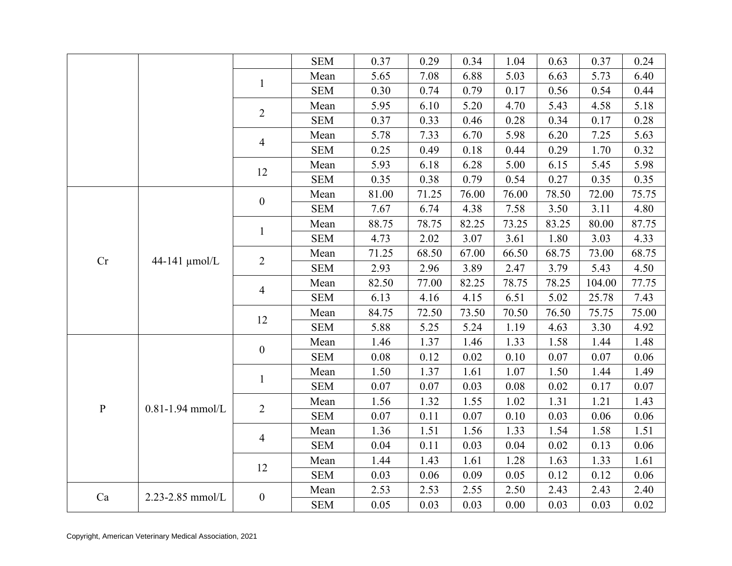|           |                      |                  | <b>SEM</b> | 0.37  | 0.29  | 0.34  | 1.04  | 0.63  | 0.37   | 0.24  |
|-----------|----------------------|------------------|------------|-------|-------|-------|-------|-------|--------|-------|
|           |                      |                  | Mean       | 5.65  | 7.08  | 6.88  | 5.03  | 6.63  | 5.73   | 6.40  |
|           |                      | $\mathbf{1}$     | <b>SEM</b> | 0.30  | 0.74  | 0.79  | 0.17  | 0.56  | 0.54   | 0.44  |
|           |                      |                  | Mean       | 5.95  | 6.10  | 5.20  | 4.70  | 5.43  | 4.58   | 5.18  |
|           |                      | $\overline{2}$   | <b>SEM</b> | 0.37  | 0.33  | 0.46  | 0.28  | 0.34  | 0.17   | 0.28  |
|           |                      |                  | Mean       | 5.78  | 7.33  | 6.70  | 5.98  | 6.20  | 7.25   | 5.63  |
|           |                      | 4                | <b>SEM</b> | 0.25  | 0.49  | 0.18  | 0.44  | 0.29  | 1.70   | 0.32  |
|           |                      |                  | Mean       | 5.93  | 6.18  | 6.28  | 5.00  | 6.15  | 5.45   | 5.98  |
|           |                      | 12               | <b>SEM</b> | 0.35  | 0.38  | 0.79  | 0.54  | 0.27  | 0.35   | 0.35  |
|           |                      | $\boldsymbol{0}$ | Mean       | 81.00 | 71.25 | 76.00 | 76.00 | 78.50 | 72.00  | 75.75 |
|           |                      |                  | <b>SEM</b> | 7.67  | 6.74  | 4.38  | 7.58  | 3.50  | 3.11   | 4.80  |
|           |                      |                  | Mean       | 88.75 | 78.75 | 82.25 | 73.25 | 83.25 | 80.00  | 87.75 |
|           |                      | $\mathbf{1}$     | <b>SEM</b> | 4.73  | 2.02  | 3.07  | 3.61  | 1.80  | 3.03   | 4.33  |
|           |                      |                  | Mean       | 71.25 | 68.50 | 67.00 | 66.50 | 68.75 | 73.00  | 68.75 |
| Cr        | 44-141 µmol/L        | $\overline{2}$   | <b>SEM</b> | 2.93  | 2.96  | 3.89  | 2.47  | 3.79  | 5.43   | 4.50  |
|           |                      |                  | Mean       | 82.50 | 77.00 | 82.25 | 78.75 | 78.25 | 104.00 | 77.75 |
|           |                      | 4                | <b>SEM</b> | 6.13  | 4.16  | 4.15  | 6.51  | 5.02  | 25.78  | 7.43  |
|           |                      | 12               | Mean       | 84.75 | 72.50 | 73.50 | 70.50 | 76.50 | 75.75  | 75.00 |
|           |                      |                  | <b>SEM</b> | 5.88  | 5.25  | 5.24  | 1.19  | 4.63  | 3.30   | 4.92  |
|           |                      | $\boldsymbol{0}$ | Mean       | 1.46  | 1.37  | 1.46  | 1.33  | 1.58  | 1.44   | 1.48  |
|           |                      |                  | <b>SEM</b> | 0.08  | 0.12  | 0.02  | 0.10  | 0.07  | 0.07   | 0.06  |
|           |                      |                  | Mean       | 1.50  | 1.37  | 1.61  | 1.07  | 1.50  | 1.44   | 1.49  |
|           |                      | $\mathbf{1}$     | <b>SEM</b> | 0.07  | 0.07  | 0.03  | 0.08  | 0.02  | 0.17   | 0.07  |
| ${\bf P}$ | $0.81 - 1.94$ mmol/L | $\overline{2}$   | Mean       | 1.56  | 1.32  | 1.55  | 1.02  | 1.31  | 1.21   | 1.43  |
|           |                      |                  | <b>SEM</b> | 0.07  | 0.11  | 0.07  | 0.10  | 0.03  | 0.06   | 0.06  |
|           |                      | 4                | Mean       | 1.36  | 1.51  | 1.56  | 1.33  | 1.54  | 1.58   | 1.51  |
|           |                      |                  | <b>SEM</b> | 0.04  | 0.11  | 0.03  | 0.04  | 0.02  | 0.13   | 0.06  |
|           |                      | 12               | Mean       | 1.44  | 1.43  | 1.61  | 1.28  | 1.63  | 1.33   | 1.61  |
|           |                      |                  | <b>SEM</b> | 0.03  | 0.06  | 0.09  | 0.05  | 0.12  | 0.12   | 0.06  |
| Ca        | 2.23-2.85 mmol/L     | $\boldsymbol{0}$ | Mean       | 2.53  | 2.53  | 2.55  | 2.50  | 2.43  | 2.43   | 2.40  |
|           |                      |                  | <b>SEM</b> | 0.05  | 0.03  | 0.03  | 0.00  | 0.03  | 0.03   | 0.02  |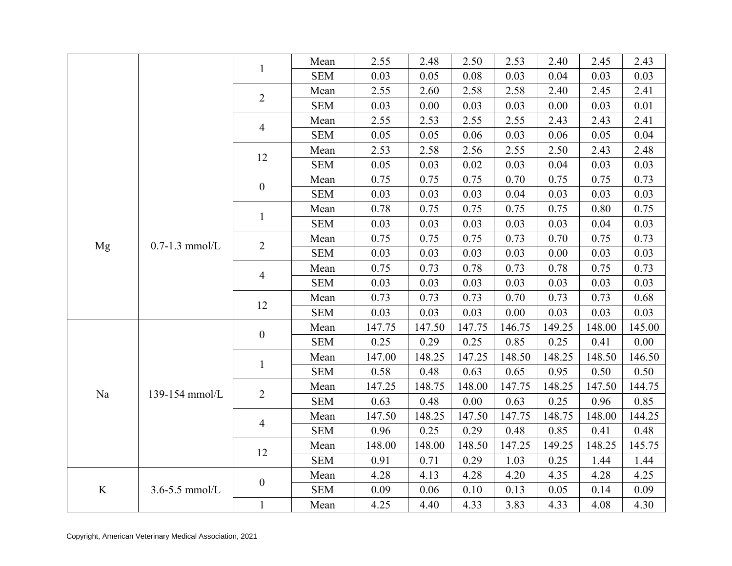|         |                    |                  | Mean       | 2.55   | 2.48   | 2.50   | 2.53   | 2.40   | 2.45   | 2.43   |
|---------|--------------------|------------------|------------|--------|--------|--------|--------|--------|--------|--------|
|         |                    | $\mathbf{1}$     | <b>SEM</b> | 0.03   | 0.05   | 0.08   | 0.03   | 0.04   | 0.03   | 0.03   |
|         |                    | $\overline{2}$   | Mean       | 2.55   | 2.60   | 2.58   | 2.58   | 2.40   | 2.45   | 2.41   |
|         |                    |                  | <b>SEM</b> | 0.03   | 0.00   | 0.03   | 0.03   | 0.00   | 0.03   | 0.01   |
|         |                    |                  | Mean       | 2.55   | 2.53   | 2.55   | 2.55   | 2.43   | 2.43   | 2.41   |
|         |                    | $\overline{4}$   | <b>SEM</b> | 0.05   | 0.05   | 0.06   | 0.03   | 0.06   | 0.05   | 0.04   |
|         |                    |                  | Mean       | 2.53   | 2.58   | 2.56   | 2.55   | 2.50   | 2.43   | 2.48   |
|         |                    | 12               | <b>SEM</b> | 0.05   | 0.03   | 0.02   | 0.03   | 0.04   | 0.03   | 0.03   |
|         |                    |                  | Mean       | 0.75   | 0.75   | 0.75   | 0.70   | 0.75   | 0.75   | 0.73   |
|         |                    | $\boldsymbol{0}$ | <b>SEM</b> | 0.03   | 0.03   | 0.03   | 0.04   | 0.03   | 0.03   | 0.03   |
|         |                    |                  | Mean       | 0.78   | 0.75   | 0.75   | 0.75   | 0.75   | 0.80   | 0.75   |
|         |                    | $\mathbf{1}$     | <b>SEM</b> | 0.03   | 0.03   | 0.03   | 0.03   | 0.03   | 0.04   | 0.03   |
|         | $0.7-1.3$ mmol/L   |                  | Mean       | 0.75   | 0.75   | 0.75   | 0.73   | 0.70   | 0.75   | 0.73   |
| Mg      |                    | $\overline{2}$   | <b>SEM</b> | 0.03   | 0.03   | 0.03   | 0.03   | 0.00   | 0.03   | 0.03   |
|         |                    |                  | Mean       | 0.75   | 0.73   | 0.78   | 0.73   | 0.78   | 0.75   | 0.73   |
|         |                    | $\overline{4}$   | <b>SEM</b> | 0.03   | 0.03   | 0.03   | 0.03   | 0.03   | 0.03   | 0.03   |
|         |                    |                  | Mean       | 0.73   | 0.73   | 0.73   | 0.70   | 0.73   | 0.73   | 0.68   |
|         |                    | 12               | <b>SEM</b> | 0.03   | 0.03   | 0.03   | 0.00   | 0.03   | 0.03   | 0.03   |
|         |                    | $\boldsymbol{0}$ | Mean       | 147.75 | 147.50 | 147.75 | 146.75 | 149.25 | 148.00 | 145.00 |
|         |                    |                  | <b>SEM</b> | 0.25   | 0.29   | 0.25   | 0.85   | 0.25   | 0.41   | 0.00   |
|         |                    | $\mathbf{1}$     | Mean       | 147.00 | 148.25 | 147.25 | 148.50 | 148.25 | 148.50 | 146.50 |
|         |                    |                  | <b>SEM</b> | 0.58   | 0.48   | 0.63   | 0.65   | 0.95   | 0.50   | 0.50   |
| Na      | 139-154 mmol/L     | $\overline{2}$   | Mean       | 147.25 | 148.75 | 148.00 | 147.75 | 148.25 | 147.50 | 144.75 |
|         |                    |                  | <b>SEM</b> | 0.63   | 0.48   | 0.00   | 0.63   | 0.25   | 0.96   | 0.85   |
|         |                    | $\overline{4}$   | Mean       | 147.50 | 148.25 | 147.50 | 147.75 | 148.75 | 148.00 | 144.25 |
|         |                    |                  | <b>SEM</b> | 0.96   | 0.25   | 0.29   | 0.48   | 0.85   | 0.41   | 0.48   |
|         |                    | 12               | Mean       | 148.00 | 148.00 | 148.50 | 147.25 | 149.25 | 148.25 | 145.75 |
|         |                    |                  | <b>SEM</b> | 0.91   | 0.71   | 0.29   | 1.03   | 0.25   | 1.44   | 1.44   |
|         |                    | $\boldsymbol{0}$ | Mean       | 4.28   | 4.13   | 4.28   | 4.20   | 4.35   | 4.28   | 4.25   |
| $\bf K$ | $3.6 - 5.5$ mmol/L |                  | <b>SEM</b> | 0.09   | 0.06   | 0.10   | 0.13   | 0.05   | 0.14   | 0.09   |
|         |                    | $\mathbf{1}$     | Mean       | 4.25   | 4.40   | 4.33   | 3.83   | 4.33   | 4.08   | 4.30   |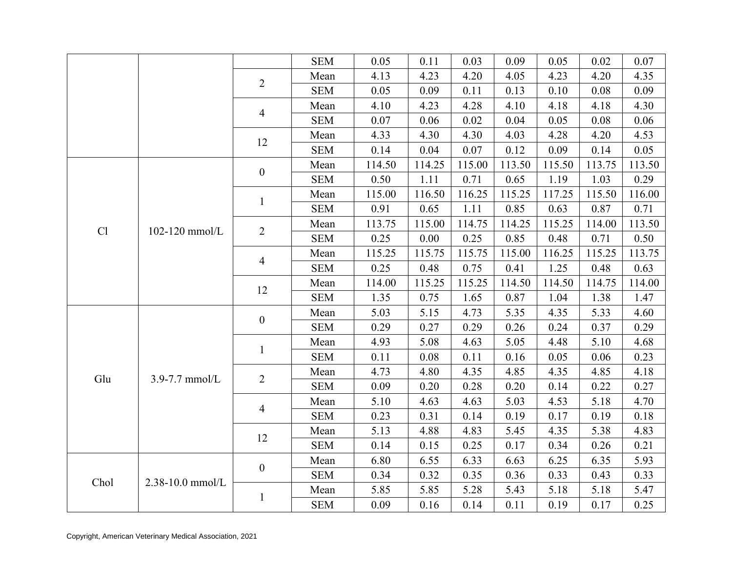|      |                  |                  | <b>SEM</b> | 0.05   | 0.11   | 0.03   | 0.09   | 0.05   | 0.02   | 0.07   |
|------|------------------|------------------|------------|--------|--------|--------|--------|--------|--------|--------|
|      |                  |                  | Mean       | 4.13   | 4.23   | 4.20   | 4.05   | 4.23   | 4.20   | 4.35   |
|      |                  | $\overline{2}$   | <b>SEM</b> | 0.05   | 0.09   | 0.11   | 0.13   | 0.10   | 0.08   | 0.09   |
|      |                  |                  | Mean       | 4.10   | 4.23   | 4.28   | 4.10   | 4.18   | 4.18   | 4.30   |
|      |                  | $\overline{4}$   | <b>SEM</b> | 0.07   | 0.06   | 0.02   | 0.04   | 0.05   | 0.08   | 0.06   |
|      |                  | 12               | Mean       | 4.33   | 4.30   | 4.30   | 4.03   | 4.28   | 4.20   | 4.53   |
|      |                  |                  | <b>SEM</b> | 0.14   | 0.04   | 0.07   | 0.12   | 0.09   | 0.14   | 0.05   |
|      |                  | $\boldsymbol{0}$ | Mean       | 114.50 | 114.25 | 115.00 | 113.50 | 115.50 | 113.75 | 113.50 |
|      |                  |                  | <b>SEM</b> | 0.50   | 1.11   | 0.71   | 0.65   | 1.19   | 1.03   | 0.29   |
|      |                  | $\mathbf{1}$     | Mean       | 115.00 | 116.50 | 116.25 | 115.25 | 117.25 | 115.50 | 116.00 |
|      |                  |                  | <b>SEM</b> | 0.91   | 0.65   | 1.11   | 0.85   | 0.63   | 0.87   | 0.71   |
| Cl   | 102-120 mmol/L   | $\overline{2}$   | Mean       | 113.75 | 115.00 | 114.75 | 114.25 | 115.25 | 114.00 | 113.50 |
|      |                  |                  | <b>SEM</b> | 0.25   | 0.00   | 0.25   | 0.85   | 0.48   | 0.71   | 0.50   |
|      |                  | $\overline{4}$   | Mean       | 115.25 | 115.75 | 115.75 | 115.00 | 116.25 | 115.25 | 113.75 |
|      |                  |                  | <b>SEM</b> | 0.25   | 0.48   | 0.75   | 0.41   | 1.25   | 0.48   | 0.63   |
|      |                  | 12               | Mean       | 114.00 | 115.25 | 115.25 | 114.50 | 114.50 | 114.75 | 114.00 |
|      |                  |                  | <b>SEM</b> | 1.35   | 0.75   | 1.65   | 0.87   | 1.04   | 1.38   | 1.47   |
|      |                  | $\boldsymbol{0}$ | Mean       | 5.03   | 5.15   | 4.73   | 5.35   | 4.35   | 5.33   | 4.60   |
|      |                  |                  | <b>SEM</b> | 0.29   | 0.27   | 0.29   | 0.26   | 0.24   | 0.37   | 0.29   |
|      |                  | $\mathbf{1}$     | Mean       | 4.93   | 5.08   | 4.63   | 5.05   | 4.48   | 5.10   | 4.68   |
|      |                  |                  | <b>SEM</b> | 0.11   | 0.08   | 0.11   | 0.16   | 0.05   | 0.06   | 0.23   |
| Glu  | 3.9-7.7 mmol/L   | $\overline{2}$   | Mean       | 4.73   | 4.80   | 4.35   | 4.85   | 4.35   | 4.85   | 4.18   |
|      |                  |                  | <b>SEM</b> | 0.09   | 0.20   | 0.28   | 0.20   | 0.14   | 0.22   | 0.27   |
|      |                  | $\overline{4}$   | Mean       | 5.10   | 4.63   | 4.63   | 5.03   | 4.53   | 5.18   | 4.70   |
|      |                  |                  | <b>SEM</b> | 0.23   | 0.31   | 0.14   | 0.19   | 0.17   | 0.19   | 0.18   |
|      |                  | 12               | Mean       | 5.13   | 4.88   | 4.83   | 5.45   | 4.35   | 5.38   | 4.83   |
|      |                  |                  | <b>SEM</b> | 0.14   | 0.15   | 0.25   | 0.17   | 0.34   | 0.26   | 0.21   |
|      |                  | $\mathbf{0}$     | Mean       | 6.80   | 6.55   | 6.33   | 6.63   | 6.25   | 6.35   | 5.93   |
| Chol | 2.38-10.0 mmol/L |                  | <b>SEM</b> | 0.34   | 0.32   | 0.35   | 0.36   | 0.33   | 0.43   | 0.33   |
|      |                  | $\mathbf{1}$     | Mean       | 5.85   | 5.85   | 5.28   | 5.43   | 5.18   | 5.18   | 5.47   |
|      |                  |                  | <b>SEM</b> | 0.09   | 0.16   | 0.14   | 0.11   | 0.19   | 0.17   | 0.25   |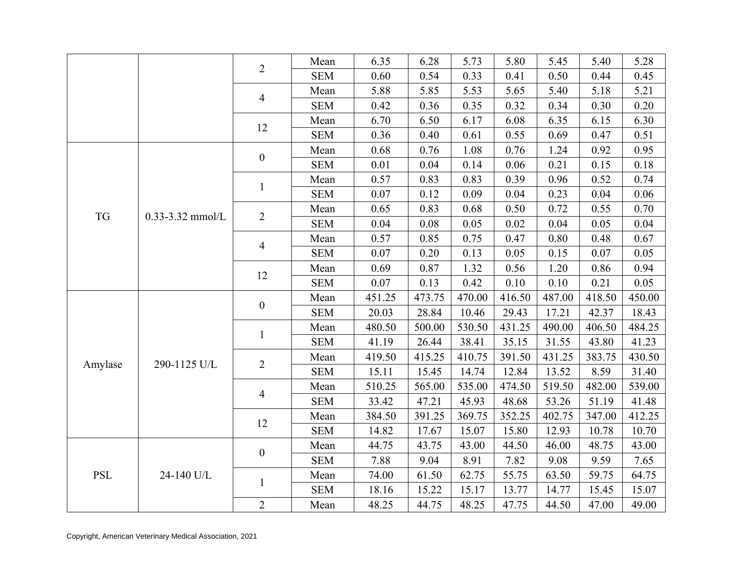|            |                      |                  | Mean       | 6.35   | 6.28   | 5.73   | 5.80   | 5.45   | 5.40   | 5.28   |
|------------|----------------------|------------------|------------|--------|--------|--------|--------|--------|--------|--------|
|            |                      | $\overline{2}$   | <b>SEM</b> | 0.60   | 0.54   | 0.33   | 0.41   | 0.50   | 0.44   | 0.45   |
|            |                      |                  | Mean       | 5.88   | 5.85   | 5.53   | 5.65   | 5.40   | 5.18   | 5.21   |
|            |                      | $\overline{4}$   | <b>SEM</b> | 0.42   | 0.36   | 0.35   | 0.32   | 0.34   | 0.30   | 0.20   |
|            |                      |                  | Mean       | 6.70   | 6.50   | 6.17   | 6.08   | 6.35   | 6.15   | 6.30   |
|            |                      | 12               | <b>SEM</b> | 0.36   | 0.40   | 0.61   | 0.55   | 0.69   | 0.47   | 0.51   |
|            |                      |                  | Mean       | 0.68   | 0.76   | 1.08   | 0.76   | 1.24   | 0.92   | 0.95   |
|            |                      | $\boldsymbol{0}$ | <b>SEM</b> | 0.01   | 0.04   | 0.14   | 0.06   | 0.21   | 0.15   | 0.18   |
|            |                      |                  | Mean       | 0.57   | 0.83   | 0.83   | 0.39   | 0.96   | 0.52   | 0.74   |
|            |                      | $\mathbf{1}$     | <b>SEM</b> | 0.07   | 0.12   | 0.09   | 0.04   | 0.23   | 0.04   | 0.06   |
|            |                      |                  | Mean       | 0.65   | 0.83   | 0.68   | 0.50   | 0.72   | 0.55   | 0.70   |
| <b>TG</b>  | $0.33 - 3.32$ mmol/L | $\overline{2}$   | <b>SEM</b> | 0.04   | 0.08   | 0.05   | 0.02   | 0.04   | 0.05   | 0.04   |
|            |                      |                  | Mean       | 0.57   | 0.85   | 0.75   | 0.47   | 0.80   | 0.48   | 0.67   |
|            |                      | $\overline{4}$   | <b>SEM</b> | 0.07   | 0.20   | 0.13   | 0.05   | 0.15   | 0.07   | 0.05   |
|            |                      |                  | Mean       | 0.69   | 0.87   | 1.32   | 0.56   | 1.20   | 0.86   | 0.94   |
|            |                      | 12               | <b>SEM</b> | 0.07   | 0.13   | 0.42   | 0.10   | 0.10   | 0.21   | 0.05   |
|            |                      |                  | Mean       | 451.25 | 473.75 | 470.00 | 416.50 | 487.00 | 418.50 | 450.00 |
|            |                      | $\boldsymbol{0}$ | <b>SEM</b> | 20.03  | 28.84  | 10.46  | 29.43  | 17.21  | 42.37  | 18.43  |
|            |                      | $\mathbf{1}$     | Mean       | 480.50 | 500.00 | 530.50 | 431.25 | 490.00 | 406.50 | 484.25 |
|            |                      |                  | <b>SEM</b> | 41.19  | 26.44  | 38.41  | 35.15  | 31.55  | 43.80  | 41.23  |
| Amylase    | 290-1125 U/L         | $\overline{2}$   | Mean       | 419.50 | 415.25 | 410.75 | 391.50 | 431.25 | 383.75 | 430.50 |
|            |                      |                  | <b>SEM</b> | 15.11  | 15.45  | 14.74  | 12.84  | 13.52  | 8.59   | 31.40  |
|            |                      | $\overline{4}$   | Mean       | 510.25 | 565.00 | 535.00 | 474.50 | 519.50 | 482.00 | 539.00 |
|            |                      |                  | <b>SEM</b> | 33.42  | 47.21  | 45.93  | 48.68  | 53.26  | 51.19  | 41.48  |
|            |                      | 12               | Mean       | 384.50 | 391.25 | 369.75 | 352.25 | 402.75 | 347.00 | 412.25 |
|            |                      |                  | <b>SEM</b> | 14.82  | 17.67  | 15.07  | 15.80  | 12.93  | 10.78  | 10.70  |
|            |                      | $\boldsymbol{0}$ | Mean       | 44.75  | 43.75  | 43.00  | 44.50  | 46.00  | 48.75  | 43.00  |
|            |                      |                  | <b>SEM</b> | 7.88   | 9.04   | 8.91   | 7.82   | 9.08   | 9.59   | 7.65   |
| <b>PSL</b> | 24-140 U/L           | $\mathbf{1}$     | Mean       | 74.00  | 61.50  | 62.75  | 55.75  | 63.50  | 59.75  | 64.75  |
|            |                      |                  | <b>SEM</b> | 18.16  | 15.22  | 15.17  | 13.77  | 14.77  | 15.45  | 15.07  |
|            |                      | $\overline{2}$   | Mean       | 48.25  | 44.75  | 48.25  | 47.75  | 44.50  | 47.00  | 49.00  |